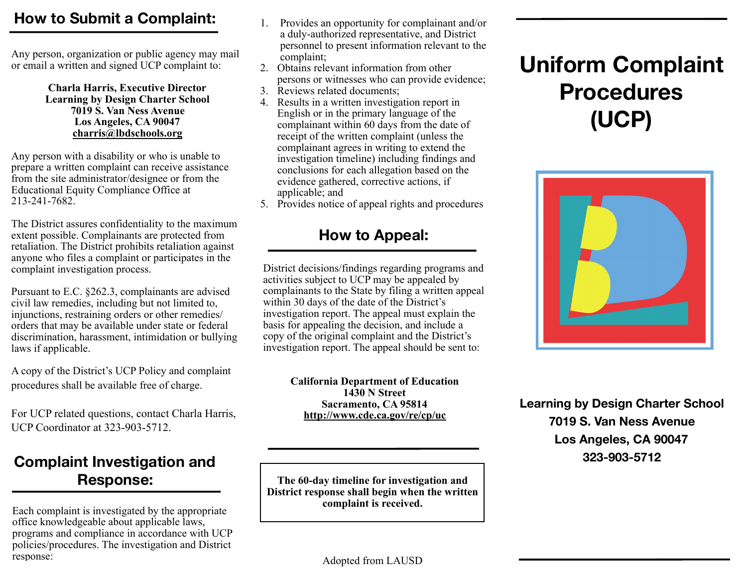#### **How to Submit a Complaint:**

Any person, organization or public agency may mail or email a written and signed UCP complaint to:

#### **Charla Harris, Executive Director Learning by Design Charter School 7019 S. Van Ness Avenue Los Angeles, CA 90047 [charris@lbdschools.org](mailto:charris@lbdschools.org?subject=)**

Any person with a disability or who is unable to prepare a written complaint can receive assistance from the site administrator/designee or from the Educational Equity Compliance Office at 213-241-7682.

The District assures confidentiality to the maximum extent possible. Complainants are protected from retaliation. The District prohibits retaliation against anyone who files a complaint or participates in the complaint investigation process.

Pursuant to E.C. §262.3, complainants are advised civil law remedies, including but not limited to, injunctions, restraining orders or other remedies/ orders that may be available under state or federal discrimination, harassment, intimidation or bullying laws if applicable.

A copy of the District's UCP Policy and complaint procedures shall be available free of charge.

For UCP related questions, contact Charla Harris, UCP Coordinator at 323-903-5712.

#### **Complaint Investigation and Response:**

Each complaint is investigated by the appropriate office knowledgeable about applicable laws, programs and compliance in accordance with UCP policies/procedures. The investigation and District response:

- 1. Provides an opportunity for complainant and/or a duly-authorized representative, and District personnel to present information relevant to the complaint;
- 2. Obtains relevant information from other persons or witnesses who can provide evidence;
- 3. Reviews related documents;
- 4. Results in a written investigation report in English or in the primary language of the complainant within 60 days from the date of receipt of the written complaint (unless the complainant agrees in writing to extend the investigation timeline) including findings and conclusions for each allegation based on the evidence gathered, corrective actions, if applicable; and
- 5. Provides notice of appeal rights and procedures

# **How to Appeal:**

District decisions/findings regarding programs and activities subject to UCP may be appealed by complainants to the State by filing a written appeal within 30 days of the date of the District's investigation report. The appeal must explain the basis for appealing the decision, and include a copy of the original complaint and the District's investigation report. The appeal should be sent to:

> **California Department of Education 1430 N Street Sacramento, CA 95814 <http://www.cde.ca.gov/re/cp/uc>**

**The 60-day timeline for investigation and District response shall begin when the written complaint is received.**

# **Uniform Complaint Procedures (UCP)**



**Learning by Design Charter School 7019 S. Van Ness Avenue Los Angeles, CA 90047 323-903-5712**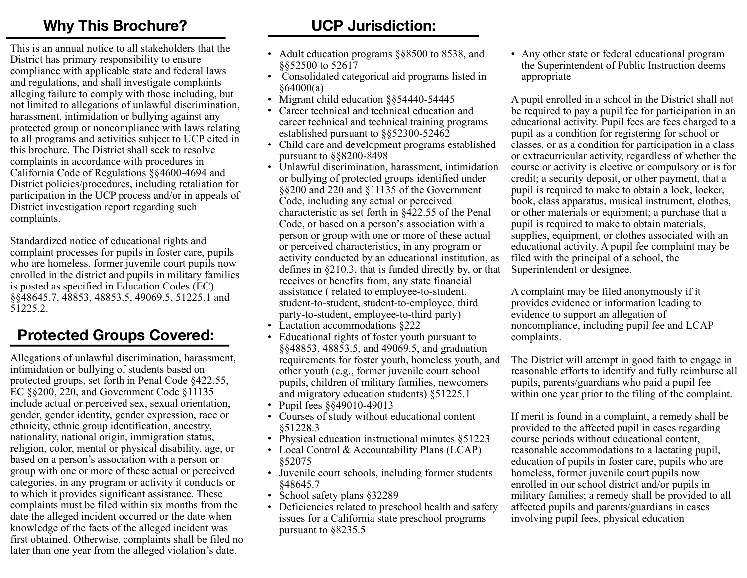#### **Why This Brochure?**

This is an annual notice to all stakeholders that the District has primary responsibility to ensure compliance with applicable state and federal laws and regulations, and shall investigate complaints alleging failure to comply with those including, but not limited to allegations of unlawful discrimination, harassment, intimidation or bullying against any protected group or noncompliance with laws relating to all programs and activities subject to UCP cited in this brochure. The District shall seek to resolve complaints in accordance with procedures in California Code of Regulations §§4600-4694 and District policies/procedures, including retaliation for participation in the UCP process and/or in appeals of District investigation report regarding such complaints.

Standardized notice of educational rights and complaint processes for pupils in foster care, pupils who are homeless, former juvenile court pupils now enrolled in the district and pupils in military families is posted as specified in Education Codes (EC) §§48645.7, 48853, 48853.5, 49069.5, 51225.1 and 51225.2.

# **Protected Groups Covered:**

Allegations of unlawful discrimination, harassment, intimidation or bullying of students based on protected groups, set forth in Penal Code §422.55, EC §§200, 220, and Government Code §11135 include actual or perceived sex, sexual orientation, gender, gender identity, gender expression, race or ethnicity, ethnic group identification, ancestry, nationality, national origin, immigration status, religion, color, mental or physical disability, age, or based on a person's association with a person or group with one or more of these actual or perceived categories, in any program or activity it conducts or to which it provides significant assistance. These complaints must be filed within six months from the date the alleged incident occurred or the date when knowledge of the facts of the alleged incident was first obtained. Otherwise, complaints shall be filed no later than one year from the alleged violation's date.

# **UCP Jurisdiction:**

- Adult education programs  $\S$ §8500 to 8538, and §§52500 to 52617
- Consolidated categorical aid programs listed in §64000(a)
- Migrant child education  $\frac{$54440}{54445}$
- Career technical and technical education and career technical and technical training programs established pursuant to §§52300-52462
- Child care and development programs established pursuant to §§8200-8498
- Unlawful discrimination, harassment, intimidation or bullying of protected groups identified under §§200 and 220 and §11135 of the Government Code, including any actual or perceived characteristic as set forth in §422.55 of the Penal Code, or based on a person's association with a person or group with one or more of these actual or perceived characteristics, in any program or activity conducted by an educational institution, as defines in §210.3, that is funded directly by, or that receives or benefits from, any state financial assistance ( related to employee-to-student, student-to-student, student-to-employee, third party-to-student, employee-to-third party)
- Lactation accommodations \$222
- Educational rights of foster youth pursuant to §§48853, 48853.5, and 49069.5, and graduation requirements for foster youth, homeless youth, and other youth (e.g., former juvenile court school pupils, children of military families, newcomers and migratory education students) §51225.1
- Pupil fees  $\frac{$49010 49013}{ }$
- Courses of study without educational content §51228.3
- Physical education instructional minutes  $§51223$
- Local Control & Accountability Plans (LCAP) §52075
- Juvenile court schools, including former students §48645.7
- School safety plans §32289
- Deficiencies related to preschool health and safety issues for a California state preschool programs pursuant to §8235.5

• Any other state or federal educational program the Superintendent of Public Instruction deems appropriate

A pupil enrolled in a school in the District shall not be required to pay a pupil fee for participation in an educational activity. Pupil fees are fees charged to a pupil as a condition for registering for school or classes, or as a condition for participation in a class or extracurricular activity, regardless of whether the course or activity is elective or compulsory or is for credit; a security deposit, or other payment, that a pupil is required to make to obtain a lock, locker, book, class apparatus, musical instrument, clothes, or other materials or equipment; a purchase that a pupil is required to make to obtain materials, supplies, equipment, or clothes associated with an educational activity. A pupil fee complaint may be filed with the principal of a school, the Superintendent or designee.

A complaint may be filed anonymously if it provides evidence or information leading to evidence to support an allegation of noncompliance, including pupil fee and LCAP complaints.

The District will attempt in good faith to engage in reasonable efforts to identify and fully reimburse all pupils, parents/guardians who paid a pupil fee within one year prior to the filing of the complaint.

If merit is found in a complaint, a remedy shall be provided to the affected pupil in cases regarding course periods without educational content, reasonable accommodations to a lactating pupil, education of pupils in foster care, pupils who are homeless, former juvenile court pupils now enrolled in our school district and/or pupils in military families; a remedy shall be provided to all affected pupils and parents/guardians in cases involving pupil fees, physical education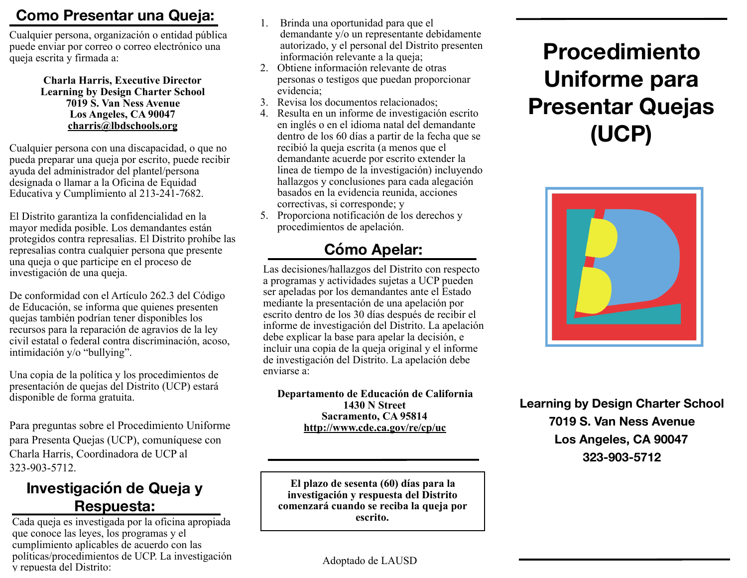### **Como Presentar una Queja:**

Cualquier persona, organización o entidad pública puede enviar por correo o correo electrónico una queja escrita y firmada a:

#### **Charla Harris, Executive Director Learning by Design Charter School 7019 S. Van Ness Avenue Los Angeles, CA 90047 [charris@lbdschools.org](mailto:charris@lbdschools.org?subject=)**

Cualquier persona con una discapacidad, o que no pueda preparar una queja por escrito, puede recibir ayuda del administrador del plantel/persona designada o llamar a la Oficina de Equidad Educativa y Cumplimiento al 213-241-7682.

El Distrito garantiza la confidencialidad en la mayor medida posible. Los demandantes están protegidos contra represalias. El Distrito prohíbe las represalias contra cualquier persona que presente una queja o que participe en el proceso de investigación de una queja.

De conformidad con el Artículo 262.3 del Código de Educación, se informa que quienes presenten quejas también podrían tener disponibles los recursos para la reparación de agravios de la ley civil estatal o federal contra discriminación, acoso, intimidación y/o "bullying".

Una copia de la política y los procedimientos de presentación de quejas del Distrito (UCP) estará disponible de forma gratuita.

Para preguntas sobre el Procedimiento Uniforme para Presenta Quejas (UCP), comuníquese con Charla Harris, Coordinadora de UCP al 323-903-5712.

#### **Investigación de Queja y Respuesta:**

Cada queja es investigada por la oficina apropiada que conoce las leyes, los programas y el cumplimiento aplicables de acuerdo con las políticas/procedimientos de UCP. La investigación y repuesta del Distrito:

- 1. Brinda una oportunidad para que el demandante y/o un representante debidamente autorizado, y el personal del Distrito presenten información relevante a la queja;
- 2. Obtiene información relevante de otras personas o testigos que puedan proporcionar evidencia;
- 3. Revisa los documentos relacionados;
- 4. Resulta en un informe de investigación escrito en inglés o en el idioma natal del demandante dentro de los 60 días a partir de la fecha que se recibió la queja escrita (a menos que el demandante acuerde por escrito extender la linea de tiempo de la investigación) incluyendo hallazgos y conclusiones para cada alegación basados en la evidencia reunida, acciones correctivas, si corresponde; y
- 5. Proporciona notificación de los derechos y procedimientos de apelación.

# **Cómo Apelar:**

Las decisiones/hallazgos del Distrito con respecto a programas y actividades sujetas a UCP pueden ser apeladas por los demandantes ante el Estado mediante la presentación de una apelación por escrito dentro de los 30 días después de recibir el informe de investigación del Distrito. La apelación debe explicar la base para apelar la decisión, e incluir una copia de la queja original y el informe de investigación del Distrito. La apelación debe enviarse a:

**Departamento de Educación de California 1430 N Street Sacramento, CA 95814 <http://www.cde.ca.gov/re/cp/uc>**

**El plazo de sesenta (60) días para la investigación y respuesta del Distrito comenzará cuando se reciba la queja por escrito.** 

# **Procedimiento Uniforme para Presentar Quejas (UCP)**



**Learning by Design Charter School 7019 S. Van Ness Avenue Los Angeles, CA 90047 323-903-5712**